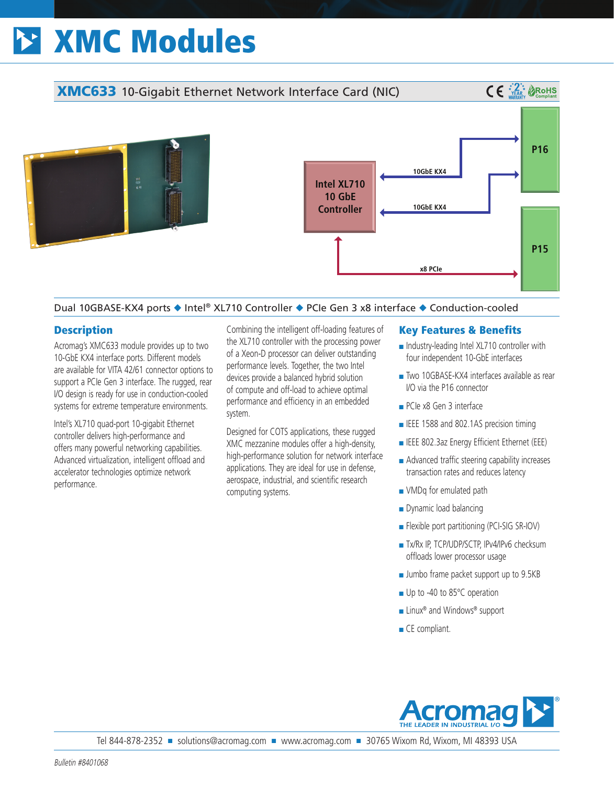# XMC Modules



# Dual 10GBASE-KX4 ports ◆ Intel® XL710 Controller ◆ PCIe Gen 3 x8 interface ◆ Conduction-cooled

# **Description**

Acromag's XMC633 module provides up to two 10-GbE KX4 interface ports. Different models are available for VITA 42/61 connector options to support a PCIe Gen 3 interface. The rugged, rear I/O design is ready for use in conduction-cooled systems for extreme temperature environments.

Intel's XL710 quad-port 10-gigabit Ethernet controller delivers high-performance and offers many powerful networking capabilities. Advanced virtualization, intelligent offload and accelerator technologies optimize network performance.

Combining the intelligent off-loading features of the XL710 controller with the processing power of a Xeon-D processor can deliver outstanding performance levels. Together, the two Intel devices provide a balanced hybrid solution of compute and off-load to achieve optimal performance and efficiency in an embedded system.

Designed for COTS applications, these rugged XMC mezzanine modules offer a high-density, high-performance solution for network interface applications. They are ideal for use in defense, aerospace, industrial, and scientific research computing systems.

## Key Features & Benefits

- Industry-leading Intel XL710 controller with four independent 10-GbE interfaces
- Two 10GBASE-KX4 interfaces available as rear I/O via the P16 connector
- PCIe x8 Gen 3 interface
- IEEE 1588 and 802.1AS precision timing
- IEEE 802.3az Energy Efficient Ethernet (EEE)
- Advanced traffic steering capability increases transaction rates and reduces latency
- VMDq for emulated path
- Dynamic load balancing
- Flexible port partitioning (PCI-SIG SR-IOV)
- Tx/Rx IP, TCP/UDP/SCTP, IPv4/IPv6 checksum offloads lower processor usage
- Jumbo frame packet support up to 9.5KB
- Up to -40 to 85°C operation
- Linux<sup>®</sup> and Windows<sup>®</sup> support
- CE compliant.